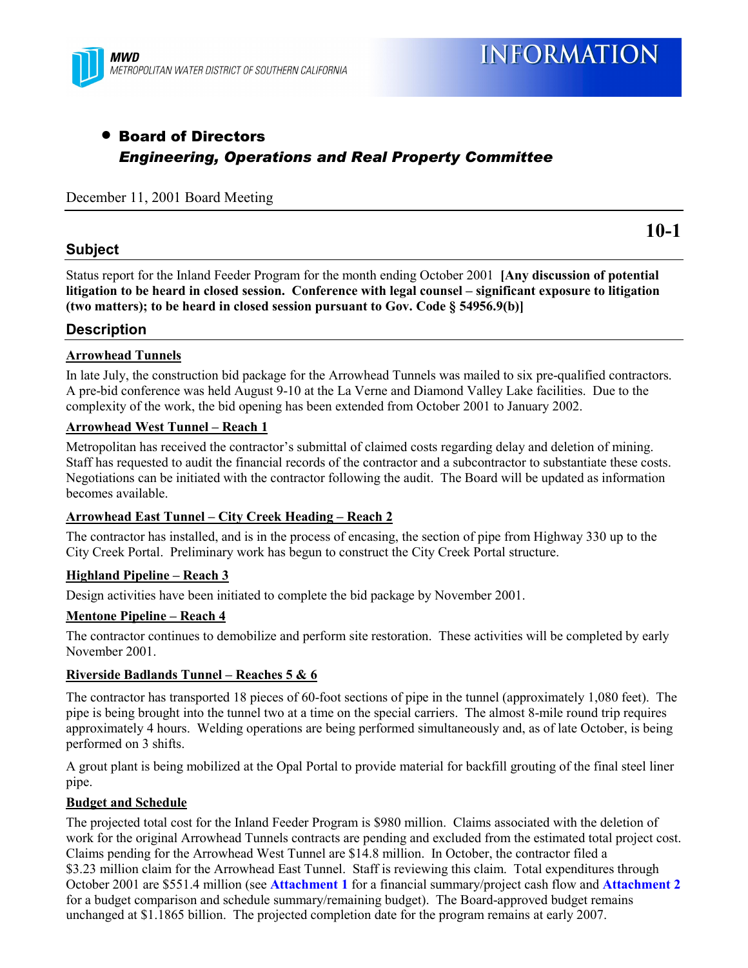

## • Board of Directors *Engineering, Operations and Real Property Committee*

#### December 11, 2001 Board Meeting

#### **Subject**

**10-1**

Status report for the Inland Feeder Program for the month ending October 2001 **[Any discussion of potential** litigation to be heard in closed session. Conference with legal counsel – significant exposure to litigation **(two matters); to be heard in closed session pursuant to Gov. Code ß 54956.9(b)]**

#### **Description**

#### **Arrowhead Tunnels**

In late July, the construction bid package for the Arrowhead Tunnels was mailed to six pre-qualified contractors. A pre-bid conference was held August 9-10 at the La Verne and Diamond Valley Lake facilities. Due to the complexity of the work, the bid opening has been extended from October 2001 to January 2002.

#### **Arrowhead West Tunnel - Reach 1**

Metropolitan has received the contractor's submittal of claimed costs regarding delay and deletion of mining. Staff has requested to audit the financial records of the contractor and a subcontractor to substantiate these costs. Negotiations can be initiated with the contractor following the audit. The Board will be updated as information becomes available.

#### Arrowhead East Tunnel – City Creek Heading – Reach 2

The contractor has installed, and is in the process of encasing, the section of pipe from Highway 330 up to the City Creek Portal. Preliminary work has begun to construct the City Creek Portal structure.

#### **Highland Pipeline – Reach 3**

Design activities have been initiated to complete the bid package by November 2001.

#### <u>**Mentone Pipeline – Reach 4**</u>

The contractor continues to demobilize and perform site restoration. These activities will be completed by early November 2001.

#### **Riverside Badlands Tunnel – Reaches 5 & 6**

The contractor has transported 18 pieces of 60-foot sections of pipe in the tunnel (approximately 1,080 feet). The pipe is being brought into the tunnel two at a time on the special carriers. The almost 8-mile round trip requires approximately 4 hours. Welding operations are being performed simultaneously and, as of late October, is being performed on 3 shifts.

A grout plant is being mobilized at the Opal Portal to provide material for backfill grouting of the final steel liner pipe.

#### **Budget and Schedule**

The projected total cost for the Inland Feeder Program is \$980 million. Claims associated with the deletion of work for the original Arrowhead Tunnels contracts are pending and excluded from the estimated total project cost. Claims pending for the Arrowhead West Tunnel are \$14.8 million. In October, the contractor filed a \$3.23 million claim for the Arrowhead East Tunnel. Staff is reviewing this claim. Total expenditures through October 2001 are \$551.4 million (see **Attachment 1** for a financial summary/project cash flow and **Attachment 2** for a budget comparison and schedule summary/remaining budget). The Board-approved budget remains unchanged at \$1.1865 billion. The projected completion date for the program remains at early 2007.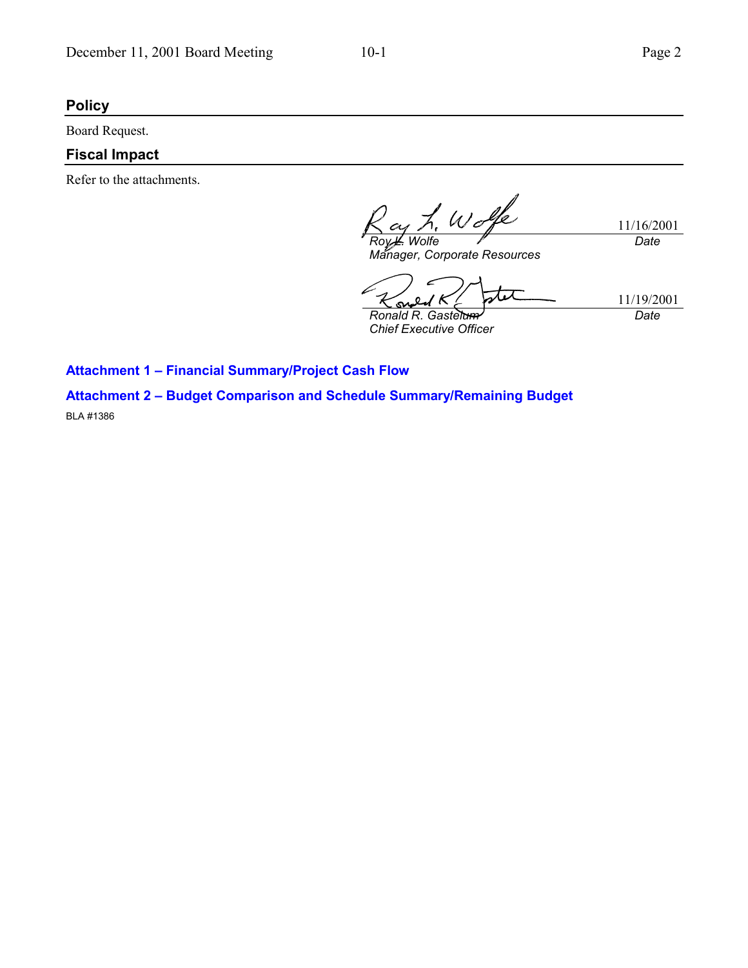### **Policy**

Board Request.

## **Fiscal Impact**

Refer to the attachments.

L. Wolfe 11/16/2001 *Roy L. Wolfe Date*

*Manager, Corporate Resources*

11/19/2001 *Ronald R. Gastelum*  $\boldsymbol{c}$ 

*Chief Executive Officer*

*Date*

**Attachment 1 - Financial Summary/Project Cash Flow** 

**Attachment 2 - Budget Comparison and Schedule Summary/Remaining Budget** BLA #1386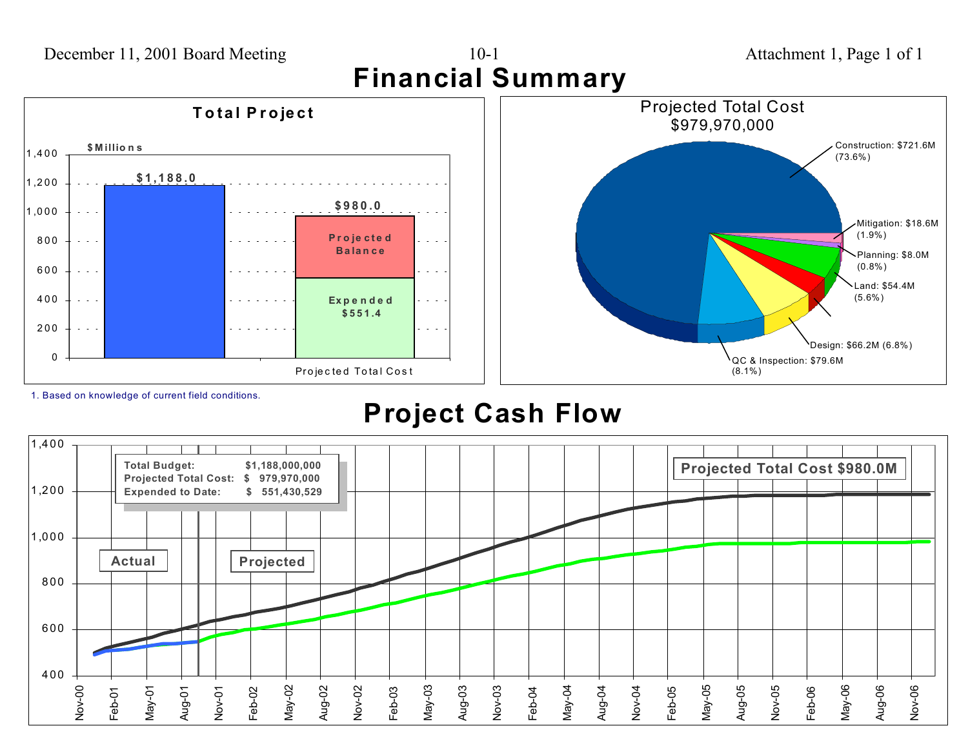

1. Based on knowledge of current field conditions.

# **Project Cash Flow**